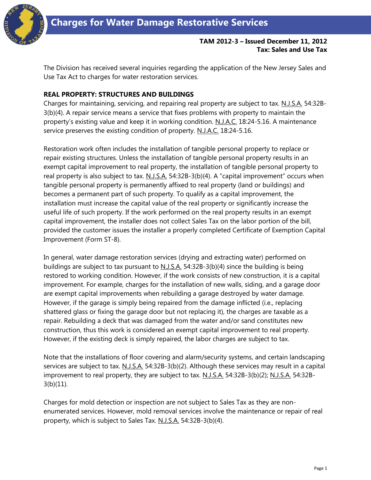

## **TAM 2012-3 – Issued December 11, 2012 Tax: Sales and Use Tax**

The Division has received several inquiries regarding the application of the New Jersey Sales and Use Tax Act to charges for water restoration services.

## **REAL PROPERTY: STRUCTURES AND BUILDINGS**

Charges for maintaining, servicing, and repairing real property are subject to tax. N.J.S.A. 54:32B-3(b)(4). A repair service means a service that fixes problems with property to maintain the property's existing value and keep it in working condition. N.J.A.C. 18:24-5.16. A maintenance service preserves the existing condition of property. N.J.A.C. 18:24-5.16.

Restoration work often includes the installation of tangible personal property to replace or repair existing structures. Unless the installation of tangible personal property results in an exempt capital improvement to real property, the installation of tangible personal property to real property is also subject to tax. N.J.S.A. 54:32B-3(b)(4). A "capital improvement" occurs when tangible personal property is permanently affixed to real property (land or buildings) and becomes a permanent part of such property. To qualify as a capital improvement, the installation must increase the capital value of the real property or significantly increase the useful life of such property. If the work performed on the real property results in an exempt capital improvement, the installer does not collect Sales Tax on the labor portion of the bill, provided the customer issues the installer a properly completed Certificate of Exemption Capital Improvement (Form ST-8).

In general, water damage restoration services (drying and extracting water) performed on buildings are subject to tax pursuant to  $N.J.S.A.$  54:32B-3(b)(4) since the building is being restored to working condition. However, if the work consists of new construction, it is a capital improvement. For example, charges for the installation of new walls, siding, and a garage door are exempt capital improvements when rebuilding a garage destroyed by water damage. However, if the garage is simply being repaired from the damage inflicted (i.e., replacing shattered glass or fixing the garage door but not replacing it), the charges are taxable as a repair. Rebuilding a deck that was damaged from the water and/or sand constitutes new construction, thus this work is considered an exempt capital improvement to real property. However, if the existing deck is simply repaired, the labor charges are subject to tax.

Note that the installations of floor covering and alarm/security systems, and certain landscaping services are subject to tax. N.J.S.A. 54:32B-3(b)(2). Although these services may result in a capital improvement to real property, they are subject to tax. N.J.S.A. 54:32B-3(b)(2); N.J.S.A. 54:32B- $3(b)(11)$ .

Charges for mold detection or inspection are not subject to Sales Tax as they are nonenumerated services. However, mold removal services involve the maintenance or repair of real property, which is subject to Sales Tax. N.J.S.A. 54:32B-3(b)(4).